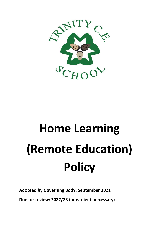

# **Home Learning (Remote Education) Policy**

**Adopted by Governing Body: September 2021**

**Due for review: 2022/23 (or earlier if necessary)**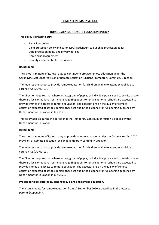# **TRINITY CE PRIMARY SCHOOL**

# **HOME LEARNING (REMOTE EDUCATION) POLICY**

## **This policy is linked to our:**

- Behaviour policy
- Child protection policy and coronavirus addendum to our child protection policy
- Data protection policy and privacy notices
- Home-school agreement
- E-safety and acceptable use policies

# **Background**

The school is mindful of its legal duty to continue to provide remote education under the Coronavirus Act 2020 Provision of Remote Education (England) Temporary Continuity Direction.

The requires the school to provide remote education for children unable to attend school due to coronavirus (COVID-19).

The Direction requires that where a class, group of pupils, or individual pupils need to self-isolate, or there are local or national restrictions requiring pupils to remain at home, schools are expected to provide immediate access to remote education. The expectations on the quality of remote education expected of schools remain those set out in the guidance for full opening published by Department for Education in July 2020.

This policy applies during the period that the Temporary Continuity Direction is applied by the Department for Education.

# **Background**

The school is mindful of its legal duty to provide remote education under the Coronavirus Act 2020 Provision of Remote Education (England) Temporary Continuity Direction.

The requires the school to provide remote education for children unable to attend school due to coronavirus (COVID-19).

The Direction requires that where a class, group of pupils, or individual pupils need to self-isolate, or there are local or national restrictions requiring pupils to remain at home, schools are expected to provide immediate access to remote education. The expectations on the quality of remote education expected of schools remain those set out in the guidance for full opening published by Department for Education in July 2020.

# **Process for local outbreaks, contingency plans and remote education.**

The arrangements for remote education from  $1<sup>st</sup>$  September 2020 is described in the letter to parents (Appendix A)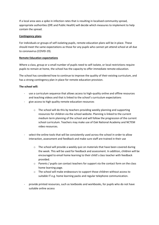If a local area sees a spike in infection rates that is resulting in localised community spread, appropriate authorities (DfE and Public Health) will decide which measures to implement to help contain the spread.

## **Contingency plans**

For individuals or groups of self-isolating pupils, remote education plans will be in place. These should meet the same expectations as those for any pupils who cannot yet attend school at all due to coronavirus (COVID-19).

# **Remote Education expectations**

Where a class, group or a small number of pupils need to self-isolate, or local restrictions require pupils to remain at home, the school has the capacity to offer immediate remote education.

The school has considered how to continue to improve the quality of their existing curriculum, and has a strong contingency plan in place for remote education provision.

# **The school will:**

- use a curriculum sequence that allows access to high-quality online and offline resources and teaching videos and that is linked to the school's curriculum expectations
- give access to high quality remote education resources
	- o The school will do this by teachers providing weekly planning and supporting resources for children via the school website. Planning is linked to the current medium term planning of the school and will follow the progression of the current school curriculum. Teachers may make use of Oak National Academy and NCTEM video resources.
- select the online tools that will be consistently used across the school in order to allow interaction, assessment and feedback and make sure staff are trained in their use
	- $\circ$  The school will provide a weekly quiz on materials that have been covered during the week. This will be used for feedback and assessment. In addition, children will be encouraged to email home learning to their child's class teacher with feedback provided.
	- o Parents / pupils can contact teachers for support via the contact form on the class home learning page.
	- o The school will make endeavours to support those children without access to suitable IT e.g. home learning packs and regular telephone communication.
- provide printed resources, such as textbooks and workbooks, for pupils who do not have suitable online access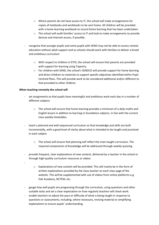- o Where parents do not have access to IT, the school will make arrangements for copies of textbooks and workbooks to be sent home. All children will be provided with a home-learning workbook to record home learning that has been undertaken.
- o The school will audit families' access to IT and look to make arrangements to provide devices and internet access, if possible.
- recognise that younger pupils and some pupils with SEND may not be able to access remote education without adult support and so schools should work with families to deliver a broad and ambitious curriculum
	- o With respect to children in EYFS, the school will ensure that parents are provided with support for learning using Tapestry.
	- o For children with SEND, the school's SENDCO will provide support for home learning and direct children to materials to support specific objectives identified within Pupil Centred Plans. This will provide work to be considered additional and/or different to that provided to other children.

# **When teaching remotely the school will**

-

- set assignments so that pupils have meaningful and ambitious work each day in a number of different subjects
	- $\circ$  The school will ensure that home learning provides a minimum of a daily maths and English lesson in addition to learning in foundation subjects, in line with the current class weekly timetables.
- teach a planned and well-sequenced curriculum so that knowledge and skills are built incrementally, with a good level of clarity about what is intended to be taught and practised in each subject
	- $\circ$  The school will ensure that planning will reflect the main taught curriculum. The required components of knowledge will be addressed through weekly quizzing.
- provide frequent, clear explanations of new content, delivered by a teacher in the school or through high-quality curriculum resources or videos
	- o Explanations of new content will be provided. This will mainly be in the form of written explanations provided by the class teacher on each class page of the website. This will be supplemented with use of videos from online platforms e.g. Oak Academy, NCTEM, etc.
- gauge how well pupils are progressing through the curriculum, using questions and other suitable tasks and set a clear expectation on how regularly teachers will check work.
- enable teachers to adjust the pace or difficulty of what is being taught in response to questions or assessments, including, where necessary, revising material or simplifying explanations to ensure pupils' understanding.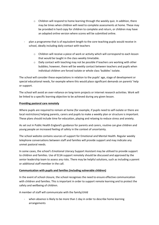- $\circ$  Children will respond to home learning through the weekly quiz. In addition, there may be times when children will need to complete assessments at home. These may be provided in hard copy for children to complete and return, or children may have an adapted online version where scores will be submitted online.
- plan a programme that is of equivalent length to the core teaching pupils would receive in school, ideally including daily contact with teachers
	- o Children will receive a piece of work or activity which will correspond to each lesson that would be taught in the class weekly timetable.
	- $\circ$  Daily contact with teaching may not be possible if teachers are working with other bubbles; however, there will be weekly contact between teachers and pupils when individual children are forced isolate or whole class 'bubbles' isolate.

The school will consider these expectations in relation to the pupils' age, stage of development or special educational needs, for example where this would place significant demands on parents' help or support.

The school will avoid an over-reliance on long-term projects or internet research activities. Work will be linked to a specific learning objective to be achieved during any given lesson.

# **Providing pastoral care remotely**

Where pupils are required to remain at home (for example, if pupils need to self-isolate or there are local restrictions) helping parents, carers and pupils to make a weekly plan or structure is important. These plans should include time for education, playing and relaxing to reduce stress and anxiety.

As set out in [Public Health England's guidance for parents and carers](https://www.gov.uk/government/publications/covid-19-guidance-on-supporting-children-and-young-peoples-mental-health-and-wellbeing/guidance-for-parents-and-carers-on-supporting-children-and-young-peoples-mental-health-and-wellbeing-during-the-coronavirus-covid-19-outbreak#helping-children-and-young-people-cope-with-stress), routine can give children and young people an increased feeling of safety in the context of uncertainty.

The school website contains sources of support for Emotional and Mental Health. Regular weekly telephone conversations between staff and families will provide support and may indicate any unmet pastoral needs.

In some cases, the school's Emotional Literacy Support Assistant may be utilised to provide support to children and families. Use of ELSA support remotely should be discussed and approved by the senior leadership team to assess any risks. There may be helpful solutions, such as including a parent or additional staff member in the call.

# **Communication with pupils and families (including vulnerable children)**

In the event of school closure, the school recognises the need to ensure effective communication with children and families. This is important in order to support remote learning and to protect the safety and wellbeing of children.

A member of staff will communicate with the family/child

when absence is likely to be more than 1 day in order to describe home learning arrangements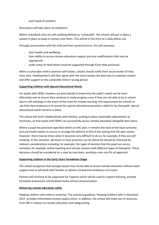- each week of isolation

Discussions will take place via telephone.

Where individuals who are self-isolating defined as 'vulnerable', the schools will put in place a system in place to keep in contact with them. This will be in the form of a daily phone call.

Through conversation with the child and their parents/carers. this will ascertain;

- their health and wellbeing
- their ability to access remote education support and any modifications that may be appropriate
- wider areas of need which could be supported through Early Help processes.

When a vulnerable child is asked to self-isolate, schools should notify their social worker (if they have one). Headteacher/s will then agree with the social worker the best way to maintain contact and offer support to the vulnerable child or young person.

# **Supporting children with Special Educational Needs**

For pupils with SEND, teachers are best-placed to know how the pupil's needs can be most effectively met to ensure they continue to make progress even if they are not able to be in school due to self-isolating. In the event of the need for remote learning, the requirement for schools to use their best endeavours to secure the special educational provision called for by the pupils' special educational needs remains in place.

The school will work collaboratively with families, putting in place reasonable adjustments as necessary, so that pupils with SEND can successfully access remote education alongside their peers.

Where a pupil has provision specified within an EHC plan, it remains the duty of the local authority and any health bodies to secure or arrange the delivery of this in the setting that the plan names. However, there may be times when it becomes very difficult to do so, for example, if they are selfisolating. In this situation, decisions on how provision can be delivered should be informed by relevant considerations including, for example, the types of services that the pupil can access remotely, for example, online teaching and remote sessions with different types of therapists. These decisions should be considered on a case by case basis, avoiding a one size fits all approach.

## **Supporting children in the Early Years Foundation Stage**

The school recognises that younger pupils may not be able to access remote education without adult support and so will work with families to deliver a broad and ambitious curriculum.

Parents will continue to be supported via Tapestry which will be used to support learning, provide formative assessment and facilitate home-school communication.

# **Delivering remote education safely**

Keeping children safe online is essential. The statutory guidance 'K[eeping Children Safe in Education](https://www.gov.uk/government/publications/keeping-children-safe-in-education--2) 2021' provides information protect pupils online. In addition, the school will make use of resources from DfE in relation to remote education and safeguarding.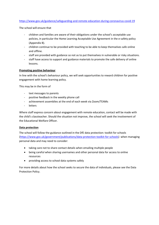# <https://www.gov.uk/guidance/safeguarding-and-remote-education-during-coronavirus-covid-19>

The school will ensure that

- children and families are aware of their obligations under the school's acceptable use policies, in particular the Home Learning Acceptable Use Agreement in the e-safety policy (Appendix B).
- children continue to be provided with teaching to be able to keep themselves safe online and offline.
- staff are provided with guidance so not as to put themselves in vulnerable or risky situations.
- staff have access to support and guidance materials to promote the safe delivery of online lessons.

# **Promoting positive behaviour**

In line with the school's behaviour policy, we will seek opportunities to reward children for positive engagement with home learning policy.

This may be in the form of

- text messages to parents
- positive feedback in the weekly phone call
- achievement assemblies at the end of each week via Zoom/TEAMs
- letters

Where staff express concern about engagement with remote education, contact will be made with the child's classteacher. Should the situation not improve, the school will seek the involvement of the Educational Welfare Officer.

# **Data protection**

The school will follow the guidance outlined in the DfE [data protection: toolkit for schools](https://www.gov.uk/government/publications/data-protection-toolkit-for-schools) [\(https://www.gov.uk/government/publications/data-protection-toolkit-for-schools\)](https://www.gov.uk/government/publications/data-protection-toolkit-for-schools) when managing personal data and may need to consider:

- taking care not to share contact details when emailing multiple people
- being careful when sharing usernames and other personal data for access to online resources
- providing access to school data systems safely

For more details about how the school seeks to secure the data of individuals, please see the Data Protection Policy.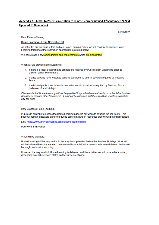# Appendix A – Letter to Parents in relation to remote learning (issued  $3^{rd}$  September 2020 & **Updated 1st November)**

01/11/2020

Dear Parents/Carers.

#### Home Learning - From November 1st

As set out in our previous letters and our Home Learning Policy, we will continue to provide Home Learning throughout the year when appropriate, as stated below.

We have made a few amendments and improvements which are highlighted.

#### When will we provide Home Learning?

- 1. If there is a local lockdown and schools are required by Public Health England to close to children of non-key workers.
- 2. If class bubbles have to isolate at home (between 10 and 14 days) as required by Test and Trace.
- 3. If individual pupils have to isolate due to household isolation as required by Test and Trace (between 10 and 14 days)

Please note that Home Learning will not be provided for pupils who are absent from school due to other illnesses or reasons other than Covid-19, as it will be assumed that they would be unable to complete anv set work.

## How to access Home Learning?

Pupils can continue to access the Home Learning page via our website or using the link below. This page will remain password protected due to copyright laws on resources that we will potentially upload.

Link: https://www.trinity.shropshire.sch.uk/home-leaming.html

Password: trinitypupil

#### What will be available?

Home Learning will be very similar to the way it was provided before the Summer Holidays. Work set will be in-line with our sequenced curriculum with an activity that corresponds to each lesson that would be taught in class for each day.

However, the way in which Home Learning is delivered and the activities set will have to be adapted. depending on each scenario stated on the subsequent page.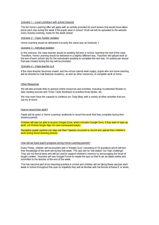#### Scenario 1 - Local Lockdown with school closures

The full Home Learning offer will apply with an activity provided for each lesson that would have taken place each day during the week if the pupils were in school. Work set will be uploaded to the website every Sunday evening, ready for the week ahead.

### Scenario 2 - Class 'bubble' isolation

Home Learning would be delivered in exactly the same way as Scenario 1.

#### Scenario 3 - Individual isolation

In this scenario, the class teacher would be working full-time in school, teaching the rest of the class. Therefore, Home Learning would be delivered in a slightly different way. Teachers will upload work at the end of each school day for the individual/s isolating to complete the next day. An activity per lesson that was missed during the day will be provided.

## Scenario 4 - Class teacher is ill

If the class teacher becomes unwell, and the school cannot seek supply, pupils who are home learning will be directed to Oak National Academy, as well as other resources, to complete work at home.

#### **Other Resources**

We will also provide links to general online resources and activities, including Accelerated Reader to take reading quizzes and Times Table Rockstars to practice times tables, etc.

We may even have the capacity to continue our 'Daily Blog' with a variety of other activities that you can try at home.

## How to record their work?

Pupils will be given a 'Home Learning' workbook to record the work that they complete during their absence period.

Children will also be able to access Google Drive, which includes Google Docs, if they wish to type-up work, via Wonde Single Sign-On (see subsequent page).

Reception pupils' parents can also use their Tapestry accounts to record and upload their children's work during home learning periods.

#### How will we track pupil's progress during Home Learning periods?

Every Friday, children will be provided with a 'Weekly Quiz' consisting of 10 questions which will test their knowledge of the work set during that week. This quiz will be 'low stakes' but 'high challenge'. They are not formal tests and will be used to support children's memory by encouraging the recall of taught content. Teachers will use Google Forms to create the quiz so that it can be taken online and submitted to the teacher at the end of the week.

This has become part of our teaching practice in school and children will be taking these guizzes each week in school throughout the year so hopefully they will be familiar with the format of these if, or when,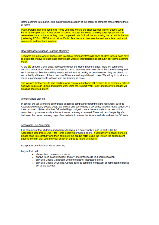Home Learning is required. KS1 pupils will need support of the parent to complete these if taking them at home

Pupils/Parents can also send their Home Learning work to the class teacher via the 'Submit Work Form' at the top of each 'Class' page, accessed through the Home Learning page if pupils wish to receive feedback on the work they have completed. Just 'upload' the work using the tab within the form (preferably PDF or JPEG format below 20mb). Teachers can then see the work completed and email comments and feedback in retum.

How will teachers support Learning at home?

Teachers will make weekly phone calls to each of their parents/pupils when children in their class have to isolate for 14days to touch base during each week of their isolation as set out in our Home Leaming Policy.

At the top of each 'Class' page, accessed through the Home Learning page, there will continue to remain a contact form which you can use to contact teachers to enquire about the home-learning work set if necessary. Teachers will try to respond to these as quickly as possible when they are able to do so, probably at the end of the school day if they are working full-time in class. We will try to provide as much support as possible to those who are learning at home.

The logistics for teachers to start marking work completed at home still remains to be extremely difficult: however, pupils can upload and submit work using the 'Submit Work Form' and receive feedback via email as described above.

## Wonde Single Sign-on

In school, we use Wonde to allow pupils to access computer programmes and resources, such as Accelerated Reader, Google Docs, etc, quickly and easily using a QR code, called a 'magic badge'. We have provided children with their QR code/Magic badge to use at home in order to access all the computer programmes easily at home if Home Learning is required. There will be a Single Sign-On button on the Home Learning page of our website to access the Wonde website and use the QR code.

## Acceptable Use Agreement

It is paramount that children and parents follow our e-safety policy, and in particular the Acceptable Use Policy (AUP) for Home Learning provided below. If you haven't already done so, please read this carefully and then complete the online form using the link on the subsequent page to confirm that you and your child/ren agree to follow this policy.

Acceptable Use Policy for Home Learning

I agree that I will:

- · always keep passwords a secret
- always keep 'Magic Badges' and/or 'Emoji Passwords' in a secure location
- . only use Google Classroom when the teacher instructs to do so
- . only use Google Drive (inc. Google docs) to complete homework or home learning tasks set by the teacher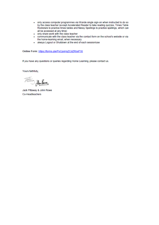- . only access computer programmes via Wonde single sign-on when instructed to do so by the class teacher (except Accelerated Reader to take reading quizzes, Times Table Rockstars to practice times tables and Nessy Spellings to practice spellings, which can all be accessed at any time)
- . only share work with the class teacher
- . communicate with the class teacher via the contact form on the school's website or via the home-learning email, when necessary
- · always Logout or Shutdown at the end of each session/use

Online Form: https://forms.gle/PoCpsHqZCdZRbsP18

If you have any questions or queries regarding Home Learning, please contact us.

Yours faithfully,

Fellow Hurlane

Jack Pittaway & John Rowe Co-Headteachers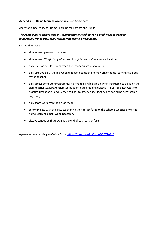# **Appendix B – Home Learning Acceptable Use Agreement**

Acceptable Use Policy for Home Learning for Parents and Pupils

# *The policy aims to ensure that any communications technology is used without creating unnecessary risk to users whilst supporting learning from home.*

I agree that I will:

- always keep passwords a secret
- always keep 'Magic Badges' and/or 'Emoji Passwords' in a secure location
- only use Google Classroom when the teacher instructs to do so
- only use Google Drive (inc. Google docs) to complete homework or home learning tasks set by the teacher
- only access computer programmes via Wonde single sign-on when instructed to do so by the class teacher (except Accelerated Reader to take reading quizzes, Times Table Rockstars to practice times tables and Nessy Spellings to practice spellings, which can all be accessed at any time)
- only share work with the class teacher
- communicate with the class teacher via the contact form on the school's website or via the home-learning email, when necessary
- always Logout or Shutdown at the end of each session/use

Agreement made using an Online Form[: https://forms.gle/PoCpsHqZCdZRbsP18](https://forms.gle/PoCpsHqZCdZRbsP18)